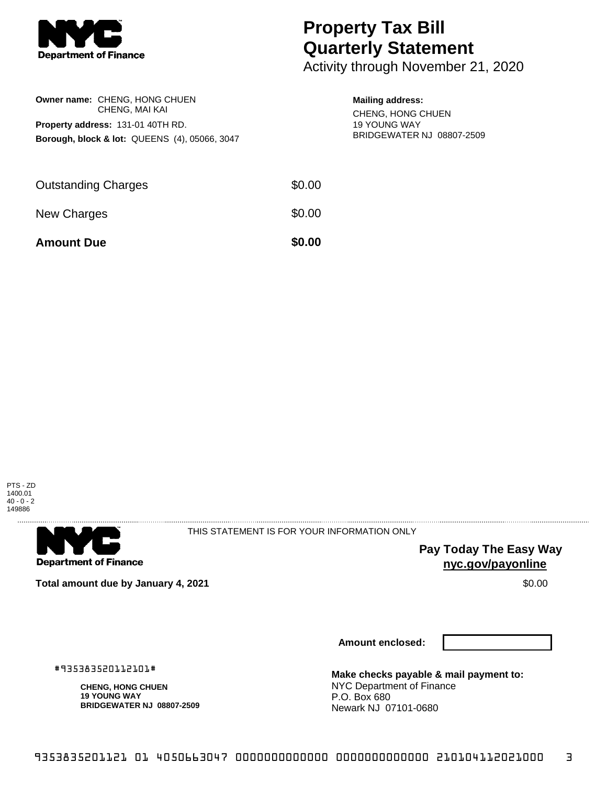

## **Property Tax Bill Quarterly Statement**

Activity through November 21, 2020

| Owner name: CHENG, HONG CHUEN<br>CHENG, MAI KAI<br><b>Property address: 131-01 40TH RD.</b><br>Borough, block & lot: QUEENS (4), 05066, 3047 |        | <b>Mailing address:</b><br>CHENG, HONG CHUEN<br><b>19 YOUNG WAY</b><br><b>BRIDGEWATER NJ 08807-2509</b> |
|----------------------------------------------------------------------------------------------------------------------------------------------|--------|---------------------------------------------------------------------------------------------------------|
| <b>Outstanding Charges</b>                                                                                                                   | \$0.00 |                                                                                                         |

New Charges  $$0.00$ 

**Amount Due \$0.00** 

PTS - ZD 1400.01 40 - 0 - 2 149886



THIS STATEMENT IS FOR YOUR INFORMATION ONLY

> **Pay Today The Easy Way nyc.gov/payonline**

**Total amount due by January 4, 2021** \$0.00

**Amount enclosed:**

#935383520112101#

**CHENG, HONG CHUEN 19 YOUNG WAY BRIDGEWATER NJ 08807-2509** **Make checks payable & mail payment to:** NYC Department of Finance P.O. Box 680 Newark NJ 07101-0680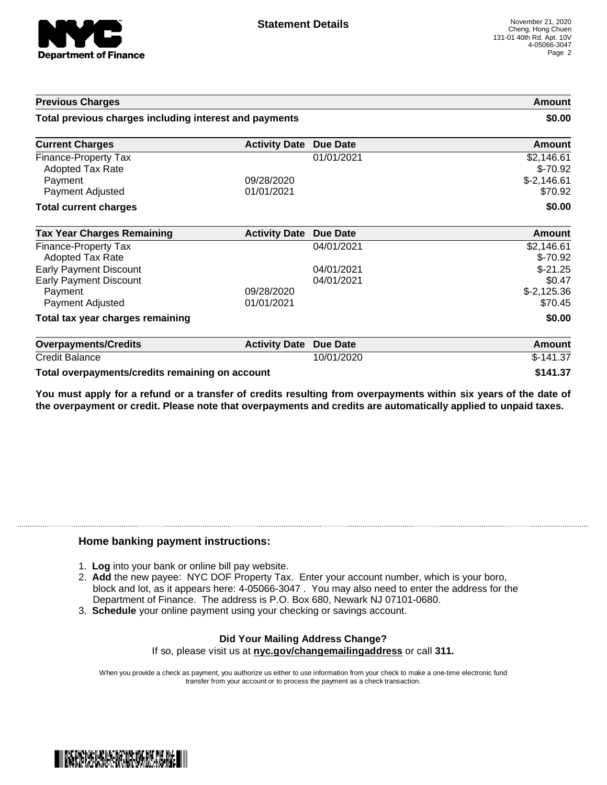

| <b>Previous Charges</b>                                        |                          |                          | Amount                                  |
|----------------------------------------------------------------|--------------------------|--------------------------|-----------------------------------------|
| Total previous charges including interest and payments         |                          |                          | \$0.00                                  |
| <b>Current Charges</b>                                         | <b>Activity Date</b>     | Due Date                 | <b>Amount</b>                           |
| Finance-Property Tax<br><b>Adopted Tax Rate</b><br>Payment     | 09/28/2020               | 01/01/2021               | \$2,146.61<br>$$-70.92$<br>$$-2,146.61$ |
| Payment Adjusted<br><b>Total current charges</b>               | 01/01/2021               |                          | \$70.92<br>\$0.00                       |
| <b>Tax Year Charges Remaining</b>                              | <b>Activity Date</b>     | <b>Due Date</b>          | <b>Amount</b>                           |
| <b>Finance-Property Tax</b><br><b>Adopted Tax Rate</b>         |                          | 04/01/2021               | \$2,146.61<br>$$-70.92$                 |
| <b>Early Payment Discount</b><br><b>Early Payment Discount</b> |                          | 04/01/2021<br>04/01/2021 | $$-21.25$<br>\$0.47                     |
| Payment<br>Payment Adjusted                                    | 09/28/2020<br>01/01/2021 |                          | $$-2,125.36$<br>\$70.45                 |
| Total tax year charges remaining                               |                          |                          | \$0.00                                  |
| <b>Overpayments/Credits</b>                                    | <b>Activity Date</b>     | <b>Due Date</b>          | Amount                                  |
| <b>Credit Balance</b>                                          |                          | 10/01/2020               | $$-141.37$                              |
|                                                                |                          |                          | .                                       |

**Total overpayments/credits remaining on account \$141.37**

You must apply for a refund or a transfer of credits resulting from overpayments within six years of the date of **the overpayment or credit. Please note that overpayments and credits are automatically applied to unpaid taxes.**

## **Home banking payment instructions:**

- 1. **Log** into your bank or online bill pay website.
- 2. **Add** the new payee: NYC DOF Property Tax. Enter your account number, which is your boro, block and lot, as it appears here: 4-05066-3047 . You may also need to enter the address for the Department of Finance. The address is P.O. Box 680, Newark NJ 07101-0680.
- 3. **Schedule** your online payment using your checking or savings account.

## **Did Your Mailing Address Change?** If so, please visit us at **nyc.gov/changemailingaddress** or call **311.**

When you provide a check as payment, you authorize us either to use information from your check to make a one-time electronic fund transfer from your account or to process the payment as a check transaction.